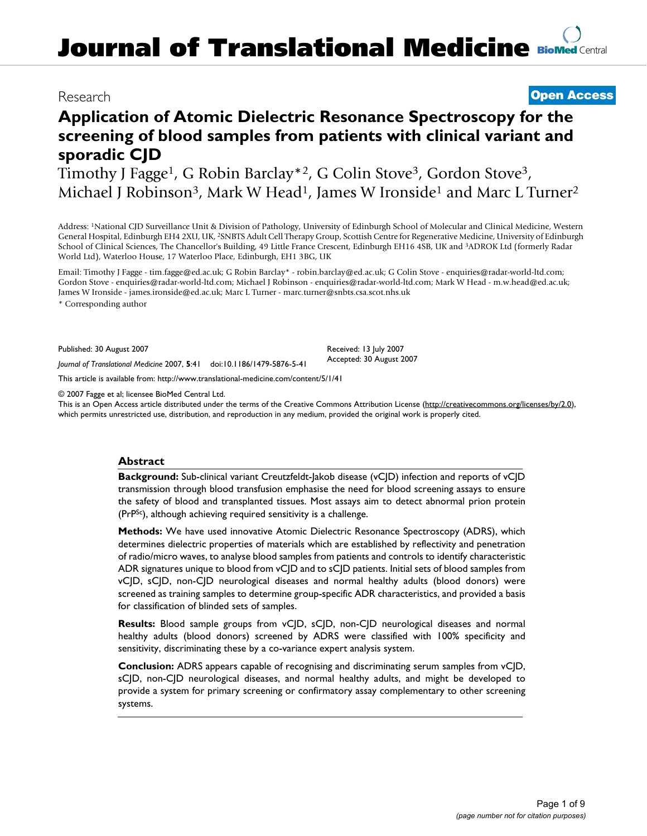# Research **[Open Access](http://www.biomedcentral.com/info/about/charter/)**

# **Application of Atomic Dielectric Resonance Spectroscopy for the screening of blood samples from patients with clinical variant and sporadic CJD**

Timothy J Fagge<sup>1</sup>, G Robin Barclay<sup>\*2</sup>, G Colin Stove<sup>3</sup>, Gordon Stove<sup>3</sup>, Michael J Robinson<sup>3</sup>, Mark W Head<sup>1</sup>, James W Ironside<sup>1</sup> and Marc L Turner<sup>2</sup>

Address: 1National CJD Surveillance Unit & Division of Pathology, University of Edinburgh School of Molecular and Clinical Medicine, Western General Hospital, Edinburgh EH4 2XU, UK, 2SNBTS Adult Cell Therapy Group, Scottish Centre for Regenerative Medicine, University of Edinburgh School of Clinical Sciences, The Chancellor's Building, 49 Little France Crescent, Edinburgh EH16 4SB, UK and 3ADROK Ltd (formerly Radar World Ltd), Waterloo House, 17 Waterloo Place, Edinburgh, EH1 3BG, UK

Email: Timothy J Fagge - tim.fagge@ed.ac.uk; G Robin Barclay\* - robin.barclay@ed.ac.uk; G Colin Stove - enquiries@radar-world-ltd.com; Gordon Stove - enquiries@radar-world-ltd.com; Michael J Robinson - enquiries@radar-world-ltd.com; Mark W Head - m.w.head@ed.ac.uk; James W Ironside - james.ironside@ed.ac.uk; Marc L Turner - marc.turner@snbts.csa.scot.nhs.uk

\* Corresponding author

Published: 30 August 2007

Received: 13 July 2007 Accepted: 30 August 2007

[This article is available from: http://www.translational-medicine.com/content/5/1/41](http://www.translational-medicine.com/content/5/1/41)

*Journal of Translational Medicine* 2007, **5**:41 doi:10.1186/1479-5876-5-41

© 2007 Fagge et al; licensee BioMed Central Ltd.

This is an Open Access article distributed under the terms of the Creative Commons Attribution License [\(http://creativecommons.org/licenses/by/2.0\)](http://creativecommons.org/licenses/by/2.0), which permits unrestricted use, distribution, and reproduction in any medium, provided the original work is properly cited.

## **Abstract**

**Background:** Sub-clinical variant Creutzfeldt-Jakob disease (vCJD) infection and reports of vCJD transmission through blood transfusion emphasise the need for blood screening assays to ensure the safety of blood and transplanted tissues. Most assays aim to detect abnormal prion protein (PrPSc), although achieving required sensitivity is a challenge.

**Methods:** We have used innovative Atomic Dielectric Resonance Spectroscopy (ADRS), which determines dielectric properties of materials which are established by reflectivity and penetration of radio/micro waves, to analyse blood samples from patients and controls to identify characteristic ADR signatures unique to blood from vCJD and to sCJD patients. Initial sets of blood samples from vCJD, sCJD, non-CJD neurological diseases and normal healthy adults (blood donors) were screened as training samples to determine group-specific ADR characteristics, and provided a basis for classification of blinded sets of samples.

**Results:** Blood sample groups from vC|D, sC|D, non-C|D neurological diseases and normal healthy adults (blood donors) screened by ADRS were classified with 100% specificity and sensitivity, discriminating these by a co-variance expert analysis system.

**Conclusion:** ADRS appears capable of recognising and discriminating serum samples from vCJD, sCJD, non-CJD neurological diseases, and normal healthy adults, and might be developed to provide a system for primary screening or confirmatory assay complementary to other screening systems.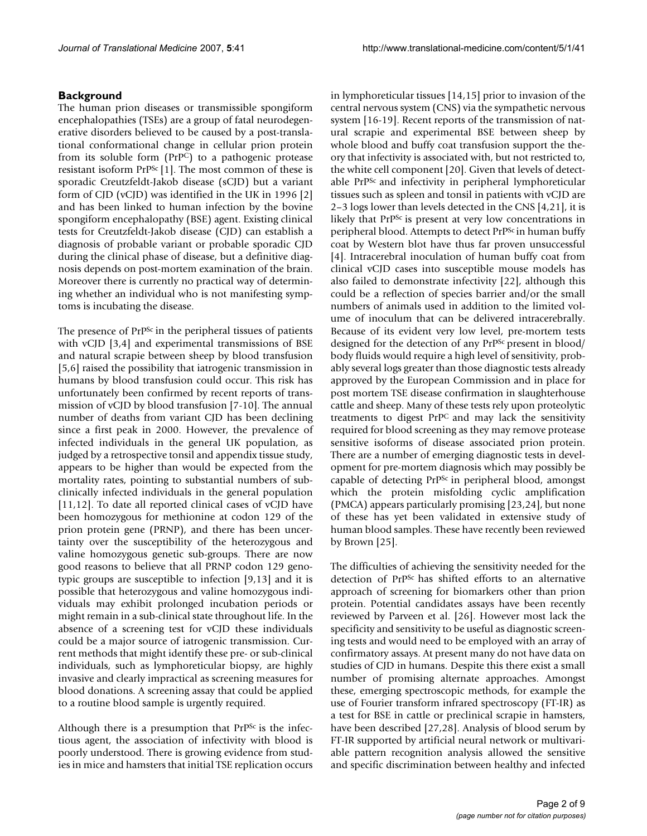## **Background**

The human prion diseases or transmissible spongiform encephalopathies (TSEs) are a group of fatal neurodegenerative disorders believed to be caused by a post-translational conformational change in cellular prion protein from its soluble form (PrPC) to a pathogenic protease resistant isoform PrPSc [1]. The most common of these is sporadic Creutzfeldt-Jakob disease (sCJD) but a variant form of CJD (vCJD) was identified in the UK in 1996 [2] and has been linked to human infection by the bovine spongiform encephalopathy (BSE) agent. Existing clinical tests for Creutzfeldt-Jakob disease (CJD) can establish a diagnosis of probable variant or probable sporadic CJD during the clinical phase of disease, but a definitive diagnosis depends on post-mortem examination of the brain. Moreover there is currently no practical way of determining whether an individual who is not manifesting symptoms is incubating the disease.

The presence of  $PrP^{Sc}$  in the peripheral tissues of patients with vCJD [3,4] and experimental transmissions of BSE and natural scrapie between sheep by blood transfusion [5,6] raised the possibility that iatrogenic transmission in humans by blood transfusion could occur. This risk has unfortunately been confirmed by recent reports of transmission of vCJD by blood transfusion [7-10]. The annual number of deaths from variant CJD has been declining since a first peak in 2000. However, the prevalence of infected individuals in the general UK population, as judged by a retrospective tonsil and appendix tissue study, appears to be higher than would be expected from the mortality rates, pointing to substantial numbers of subclinically infected individuals in the general population [11,12]. To date all reported clinical cases of vCJD have been homozygous for methionine at codon 129 of the prion protein gene (PRNP), and there has been uncertainty over the susceptibility of the heterozygous and valine homozygous genetic sub-groups. There are now good reasons to believe that all PRNP codon 129 genotypic groups are susceptible to infection [9,13] and it is possible that heterozygous and valine homozygous individuals may exhibit prolonged incubation periods or might remain in a sub-clinical state throughout life. In the absence of a screening test for vCJD these individuals could be a major source of iatrogenic transmission. Current methods that might identify these pre- or sub-clinical individuals, such as lymphoreticular biopsy, are highly invasive and clearly impractical as screening measures for blood donations. A screening assay that could be applied to a routine blood sample is urgently required.

Although there is a presumption that PrP<sup>Sc</sup> is the infectious agent, the association of infectivity with blood is poorly understood. There is growing evidence from studies in mice and hamsters that initial TSE replication occurs

in lymphoreticular tissues [14,15] prior to invasion of the central nervous system (CNS) via the sympathetic nervous system [16-19]. Recent reports of the transmission of natural scrapie and experimental BSE between sheep by whole blood and buffy coat transfusion support the theory that infectivity is associated with, but not restricted to, the white cell component [20]. Given that levels of detectable PrPSc and infectivity in peripheral lymphoreticular tissues such as spleen and tonsil in patients with vCJD are 2–3 logs lower than levels detected in the CNS [4,21], it is likely that  $PrP^{Sc}$  is present at very low concentrations in peripheral blood. Attempts to detect PrP<sup>Sc</sup> in human buffy coat by Western blot have thus far proven unsuccessful [4]. Intracerebral inoculation of human buffy coat from clinical vCJD cases into susceptible mouse models has also failed to demonstrate infectivity [22], although this could be a reflection of species barrier and/or the small numbers of animals used in addition to the limited volume of inoculum that can be delivered intracerebrally. Because of its evident very low level, pre-mortem tests designed for the detection of any PrP<sup>Sc</sup> present in blood/ body fluids would require a high level of sensitivity, probably several logs greater than those diagnostic tests already approved by the European Commission and in place for post mortem TSE disease confirmation in slaughterhouse cattle and sheep. Many of these tests rely upon proteolytic treatments to digest PrPC and may lack the sensitivity required for blood screening as they may remove protease sensitive isoforms of disease associated prion protein. There are a number of emerging diagnostic tests in development for pre-mortem diagnosis which may possibly be capable of detecting PrP<sup>Sc</sup> in peripheral blood, amongst which the protein misfolding cyclic amplification (PMCA) appears particularly promising [23,24], but none of these has yet been validated in extensive study of human blood samples. These have recently been reviewed by Brown [25].

The difficulties of achieving the sensitivity needed for the detection of PrPSc has shifted efforts to an alternative approach of screening for biomarkers other than prion protein. Potential candidates assays have been recently reviewed by Parveen et al. [26]. However most lack the specificity and sensitivity to be useful as diagnostic screening tests and would need to be employed with an array of confirmatory assays. At present many do not have data on studies of CJD in humans. Despite this there exist a small number of promising alternate approaches. Amongst these, emerging spectroscopic methods, for example the use of Fourier transform infrared spectroscopy (FT-IR) as a test for BSE in cattle or preclinical scrapie in hamsters, have been described [27,28]. Analysis of blood serum by FT-IR supported by artificial neural network or multivariable pattern recognition analysis allowed the sensitive and specific discrimination between healthy and infected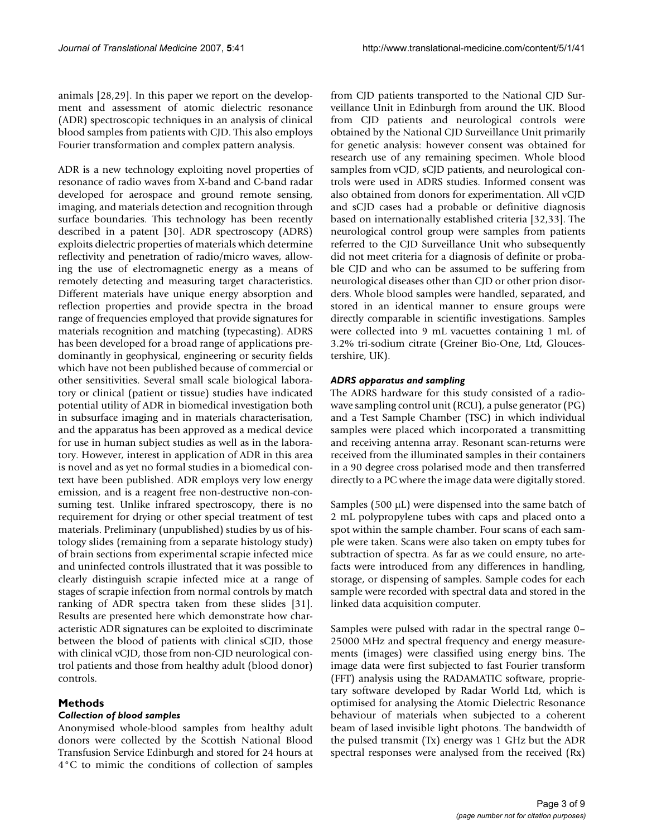animals [28,29]. In this paper we report on the development and assessment of atomic dielectric resonance (ADR) spectroscopic techniques in an analysis of clinical blood samples from patients with CJD. This also employs Fourier transformation and complex pattern analysis.

ADR is a new technology exploiting novel properties of resonance of radio waves from X-band and C-band radar developed for aerospace and ground remote sensing, imaging, and materials detection and recognition through surface boundaries. This technology has been recently described in a patent [30]. ADR spectroscopy (ADRS) exploits dielectric properties of materials which determine reflectivity and penetration of radio/micro waves, allowing the use of electromagnetic energy as a means of remotely detecting and measuring target characteristics. Different materials have unique energy absorption and reflection properties and provide spectra in the broad range of frequencies employed that provide signatures for materials recognition and matching (typecasting). ADRS has been developed for a broad range of applications predominantly in geophysical, engineering or security fields which have not been published because of commercial or other sensitivities. Several small scale biological laboratory or clinical (patient or tissue) studies have indicated potential utility of ADR in biomedical investigation both in subsurface imaging and in materials characterisation, and the apparatus has been approved as a medical device for use in human subject studies as well as in the laboratory. However, interest in application of ADR in this area is novel and as yet no formal studies in a biomedical context have been published. ADR employs very low energy emission, and is a reagent free non-destructive non-consuming test. Unlike infrared spectroscopy, there is no requirement for drying or other special treatment of test materials. Preliminary (unpublished) studies by us of histology slides (remaining from a separate histology study) of brain sections from experimental scrapie infected mice and uninfected controls illustrated that it was possible to clearly distinguish scrapie infected mice at a range of stages of scrapie infection from normal controls by match ranking of ADR spectra taken from these slides [31]. Results are presented here which demonstrate how characteristic ADR signatures can be exploited to discriminate between the blood of patients with clinical sCJD, those with clinical vCJD, those from non-CJD neurological control patients and those from healthy adult (blood donor) controls.

## **Methods**

## *Collection of blood samples*

Anonymised whole-blood samples from healthy adult donors were collected by the Scottish National Blood Transfusion Service Edinburgh and stored for 24 hours at 4°C to mimic the conditions of collection of samples

from CJD patients transported to the National CJD Surveillance Unit in Edinburgh from around the UK. Blood from CJD patients and neurological controls were obtained by the National CJD Surveillance Unit primarily for genetic analysis: however consent was obtained for research use of any remaining specimen. Whole blood samples from vCJD, sCJD patients, and neurological controls were used in ADRS studies. Informed consent was also obtained from donors for experimentation. All vCJD and sCJD cases had a probable or definitive diagnosis based on internationally established criteria [32,33]. The neurological control group were samples from patients referred to the CJD Surveillance Unit who subsequently did not meet criteria for a diagnosis of definite or probable CJD and who can be assumed to be suffering from neurological diseases other than CJD or other prion disorders. Whole blood samples were handled, separated, and stored in an identical manner to ensure groups were directly comparable in scientific investigations. Samples were collected into 9 mL vacuettes containing 1 mL of 3.2% tri-sodium citrate (Greiner Bio-One, Ltd, Gloucestershire, UK).

#### *ADRS apparatus and sampling*

The ADRS hardware for this study consisted of a radiowave sampling control unit (RCU), a pulse generator (PG) and a Test Sample Chamber (TSC) in which individual samples were placed which incorporated a transmitting and receiving antenna array. Resonant scan-returns were received from the illuminated samples in their containers in a 90 degree cross polarised mode and then transferred directly to a PC where the image data were digitally stored.

Samples (500  $\mu$ L) were dispensed into the same batch of 2 mL polypropylene tubes with caps and placed onto a spot within the sample chamber. Four scans of each sample were taken. Scans were also taken on empty tubes for subtraction of spectra. As far as we could ensure, no artefacts were introduced from any differences in handling, storage, or dispensing of samples. Sample codes for each sample were recorded with spectral data and stored in the linked data acquisition computer.

Samples were pulsed with radar in the spectral range 0– 25000 MHz and spectral frequency and energy measurements (images) were classified using energy bins. The image data were first subjected to fast Fourier transform (FFT) analysis using the RADAMATIC software, proprietary software developed by Radar World Ltd, which is optimised for analysing the Atomic Dielectric Resonance behaviour of materials when subjected to a coherent beam of lased invisible light photons. The bandwidth of the pulsed transmit (Tx) energy was 1 GHz but the ADR spectral responses were analysed from the received (Rx)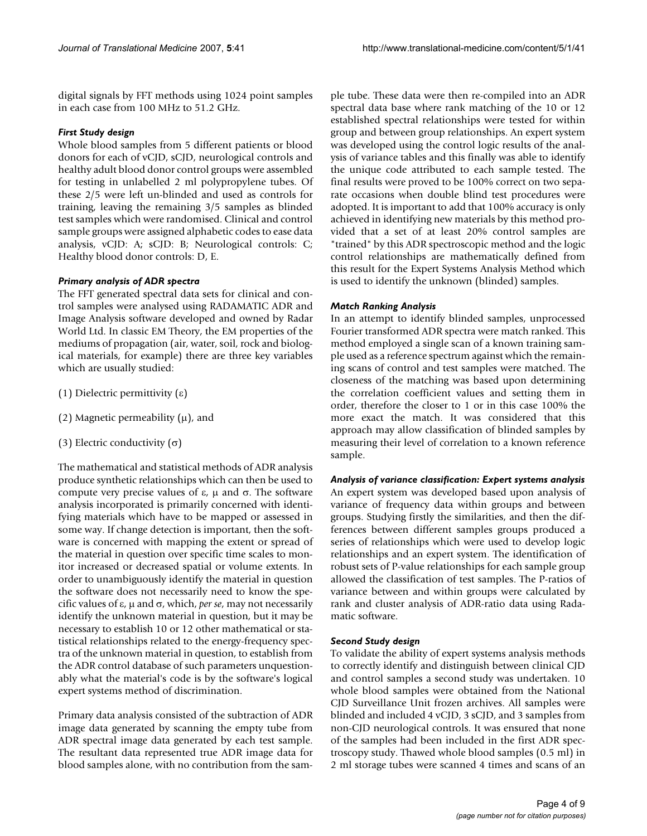digital signals by FFT methods using 1024 point samples in each case from 100 MHz to 51.2 GHz.

## *First Study design*

Whole blood samples from 5 different patients or blood donors for each of vCJD, sCJD, neurological controls and healthy adult blood donor control groups were assembled for testing in unlabelled 2 ml polypropylene tubes. Of these 2/5 were left un-blinded and used as controls for training, leaving the remaining 3/5 samples as blinded test samples which were randomised. Clinical and control sample groups were assigned alphabetic codes to ease data analysis, vCJD: A; sCJD: B; Neurological controls: C; Healthy blood donor controls: D, E.

## *Primary analysis of ADR spectra*

The FFT generated spectral data sets for clinical and control samples were analysed using RADAMATIC ADR and Image Analysis software developed and owned by Radar World Ltd. In classic EM Theory, the EM properties of the mediums of propagation (air, water, soil, rock and biological materials, for example) there are three key variables which are usually studied:

- (1) Dielectric permittivity (ε)
- (2) Magnetic permeability  $(\mu)$ , and
- (3) Electric conductivity (σ)

The mathematical and statistical methods of ADR analysis produce synthetic relationships which can then be used to compute very precise values of ε,  $\mu$  and  $\sigma$ . The software analysis incorporated is primarily concerned with identifying materials which have to be mapped or assessed in some way. If change detection is important, then the software is concerned with mapping the extent or spread of the material in question over specific time scales to monitor increased or decreased spatial or volume extents. In order to unambiguously identify the material in question the software does not necessarily need to know the specific values of ε, µ and σ, which, *per se*, may not necessarily identify the unknown material in question, but it may be necessary to establish 10 or 12 other mathematical or statistical relationships related to the energy-frequency spectra of the unknown material in question, to establish from the ADR control database of such parameters unquestionably what the material's code is by the software's logical expert systems method of discrimination.

Primary data analysis consisted of the subtraction of ADR image data generated by scanning the empty tube from ADR spectral image data generated by each test sample. The resultant data represented true ADR image data for blood samples alone, with no contribution from the sample tube. These data were then re-compiled into an ADR spectral data base where rank matching of the 10 or 12 established spectral relationships were tested for within group and between group relationships. An expert system was developed using the control logic results of the analysis of variance tables and this finally was able to identify the unique code attributed to each sample tested. The final results were proved to be 100% correct on two separate occasions when double blind test procedures were adopted. It is important to add that 100% accuracy is only achieved in identifying new materials by this method provided that a set of at least 20% control samples are "trained" by this ADR spectroscopic method and the logic control relationships are mathematically defined from this result for the Expert Systems Analysis Method which is used to identify the unknown (blinded) samples.

## *Match Ranking Analysis*

In an attempt to identify blinded samples, unprocessed Fourier transformed ADR spectra were match ranked. This method employed a single scan of a known training sample used as a reference spectrum against which the remaining scans of control and test samples were matched. The closeness of the matching was based upon determining the correlation coefficient values and setting them in order, therefore the closer to 1 or in this case 100% the more exact the match. It was considered that this approach may allow classification of blinded samples by measuring their level of correlation to a known reference sample.

## *Analysis of variance classification: Expert systems analysis*

An expert system was developed based upon analysis of variance of frequency data within groups and between groups. Studying firstly the similarities, and then the differences between different samples groups produced a series of relationships which were used to develop logic relationships and an expert system. The identification of robust sets of P-value relationships for each sample group allowed the classification of test samples. The P-ratios of variance between and within groups were calculated by rank and cluster analysis of ADR-ratio data using Radamatic software.

## *Second Study design*

To validate the ability of expert systems analysis methods to correctly identify and distinguish between clinical CJD and control samples a second study was undertaken. 10 whole blood samples were obtained from the National CJD Surveillance Unit frozen archives. All samples were blinded and included 4 vCJD, 3 sCJD, and 3 samples from non-CJD neurological controls. It was ensured that none of the samples had been included in the first ADR spectroscopy study. Thawed whole blood samples (0.5 ml) in 2 ml storage tubes were scanned 4 times and scans of an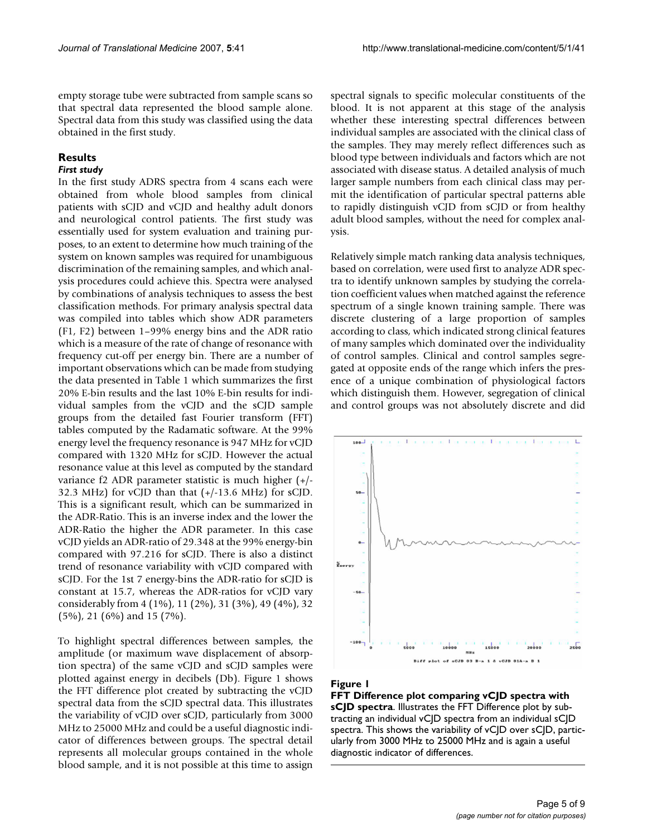empty storage tube were subtracted from sample scans so that spectral data represented the blood sample alone. Spectral data from this study was classified using the data obtained in the first study.

## **Results**

## *First study*

In the first study ADRS spectra from 4 scans each were obtained from whole blood samples from clinical patients with sCJD and vCJD and healthy adult donors and neurological control patients. The first study was essentially used for system evaluation and training purposes, to an extent to determine how much training of the system on known samples was required for unambiguous discrimination of the remaining samples, and which analysis procedures could achieve this. Spectra were analysed by combinations of analysis techniques to assess the best classification methods. For primary analysis spectral data was compiled into tables which show ADR parameters (F1, F2) between 1–99% energy bins and the ADR ratio which is a measure of the rate of change of resonance with frequency cut-off per energy bin. There are a number of important observations which can be made from studying the data presented in Table 1 which summarizes the first 20% E-bin results and the last 10% E-bin results for individual samples from the vCJD and the sCJD sample groups from the detailed fast Fourier transform (FFT) tables computed by the Radamatic software. At the 99% energy level the frequency resonance is 947 MHz for vCJD compared with 1320 MHz for sCJD. However the actual resonance value at this level as computed by the standard variance f2 ADR parameter statistic is much higher (+/- 32.3 MHz) for vCJD than that (+/-13.6 MHz) for sCJD. This is a significant result, which can be summarized in the ADR-Ratio. This is an inverse index and the lower the ADR-Ratio the higher the ADR parameter. In this case vCJD yields an ADR-ratio of 29.348 at the 99% energy-bin compared with 97.216 for sCJD. There is also a distinct trend of resonance variability with vCJD compared with sCJD. For the 1st 7 energy-bins the ADR-ratio for sCJD is constant at 15.7, whereas the ADR-ratios for vCJD vary considerably from 4 (1%), 11 (2%), 31 (3%), 49 (4%), 32 (5%), 21 (6%) and 15 (7%).

To highlight spectral differences between samples, the amplitude (or maximum wave displacement of absorption spectra) of the same vCJD and sCJD samples were plotted against energy in decibels (Db). Figure 1 shows the FFT difference plot created by subtracting the vCJD spectral data from the sCJD spectral data. This illustrates the variability of vCJD over sCJD, particularly from 3000 MHz to 25000 MHz and could be a useful diagnostic indicator of differences between groups. The spectral detail represents all molecular groups contained in the whole blood sample, and it is not possible at this time to assign

spectral signals to specific molecular constituents of the blood. It is not apparent at this stage of the analysis whether these interesting spectral differences between individual samples are associated with the clinical class of the samples. They may merely reflect differences such as blood type between individuals and factors which are not associated with disease status. A detailed analysis of much larger sample numbers from each clinical class may permit the identification of particular spectral patterns able to rapidly distinguish vCJD from sCJD or from healthy adult blood samples, without the need for complex analysis.

Relatively simple match ranking data analysis techniques, based on correlation, were used first to analyze ADR spectra to identify unknown samples by studying the correlation coefficient values when matched against the reference spectrum of a single known training sample. There was discrete clustering of a large proportion of samples according to class, which indicated strong clinical features of many samples which dominated over the individuality of control samples. Clinical and control samples segregated at opposite ends of the range which infers the presence of a unique combination of physiological factors which distinguish them. However, segregation of clinical and control groups was not absolutely discrete and did



#### Figure 1

**FFT Difference plot comparing vCJD spectra with sCJD spectra**. Illustrates the FFT Difference plot by subtracting an individual vCJD spectra from an individual sCJD spectra. This shows the variability of vC|D over sC|D, particularly from 3000 MHz to 25000 MHz and is again a useful diagnostic indicator of differences.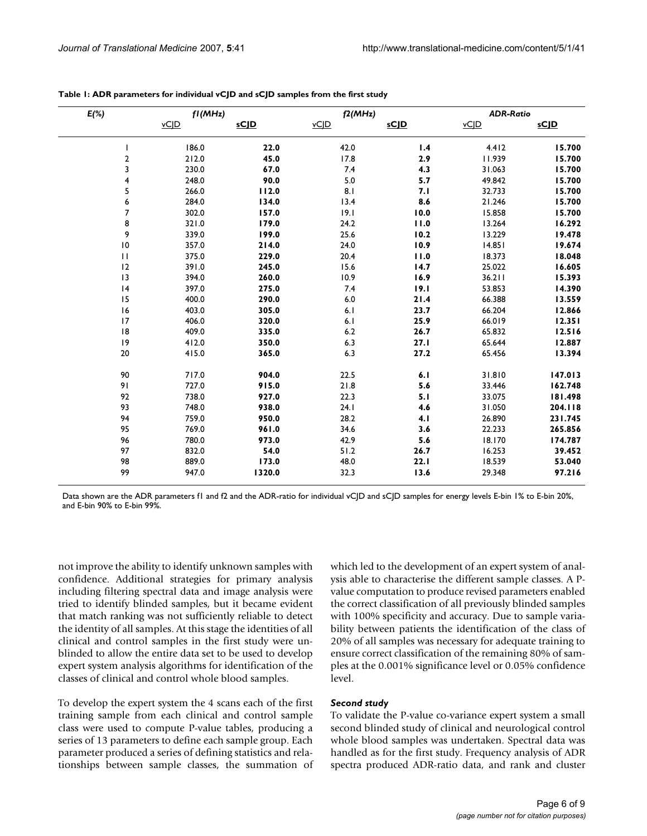| $E(\%)$                  | fI(MHz) |             | f2(MHz) |             | <b>ADR-Ratio</b> |             |
|--------------------------|---------|-------------|---------|-------------|------------------|-------------|
|                          | vCJD    | <u>sCJD</u> | vCJD    | <u>sCJD</u> | $\underline{vC}$ | <u>sCJD</u> |
|                          | 186.0   | 22.0        | 42.0    | 1.4         | 4.412            | 15.700      |
| $\overline{\mathbf{c}}$  | 212.0   | 45.0        | 17.8    | 2.9         | 11.939           | 15.700      |
| 3                        | 230.0   | 67.0        | 7.4     | 4.3         | 31.063           | 15.700      |
| 4                        | 248.0   | 90.0        | 5.0     | 5.7         | 49.842           | 15.700      |
| 5                        | 266.0   | 112.0       | 8.1     | 7.1         | 32.733           | 15.700      |
| 6                        | 284.0   | 134.0       | 13.4    | 8.6         | 21.246           | 15.700      |
| 7                        | 302.0   | 157.0       | 19.1    | 10.0        | 15.858           | 15.700      |
| 8                        | 321.0   | 179.0       | 24.2    | 11.0        | 13.264           | 16.292      |
| 9                        | 339.0   | 199.0       | 25.6    | 10.2        | 13.229           | 19.478      |
| $\mathsf{I}\,\mathsf{0}$ | 357.0   | 214.0       | 24.0    | 10.9        | 14.851           | 19.674      |
| $\mathbf{H}$             | 375.0   | 229.0       | 20.4    | 11.0        | 18.373           | 18.048      |
| 12                       | 391.0   | 245.0       | 15.6    | 14.7        | 25.022           | 16.605      |
| 13                       | 394.0   | 260.0       | 10.9    | 16.9        | 36.211           | 15.393      |
| 4                        | 397.0   | 275.0       | 7.4     | 19.1        | 53.853           | 14.390      |
| 15                       | 400.0   | 290.0       | $6.0\,$ | 21.4        | 66.388           | 13.559      |
| 16                       | 403.0   | 305.0       | 6.1     | 23.7        | 66.204           | 12.866      |
| 17                       | 406.0   | 320.0       | 6.1     | 25.9        | 66.019           | 12.351      |
| 8                        | 409.0   | 335.0       | 6.2     | 26.7        | 65.832           | 12.516      |
| 9                        | 412.0   | 350.0       | 6.3     | 27.1        | 65.644           | 12.887      |
| $20\,$                   | 415.0   | 365.0       | 6.3     | 27.2        | 65.456           | 13.394      |
| 90                       | 717.0   | 904.0       | 22.5    | 6.1         | 31.810           | 147.013     |
| 91                       | 727.0   | 915.0       | 21.8    | 5.6         | 33.446           | 162.748     |
| 92                       | 738.0   | 927.0       | 22.3    | 5.1         | 33.075           | 181.498     |
| 93                       | 748.0   | 938.0       | 24.1    | 4.6         | 31.050           | 204.118     |
| 94                       | 759.0   | 950.0       | 28.2    | 4.1         | 26.890           | 231.745     |
| 95                       | 769.0   | 961.0       | 34.6    | 3.6         | 22.233           | 265.856     |
| 96                       | 780.0   | 973.0       | 42.9    | 5.6         | 18.170           | 174.787     |
| 97                       | 832.0   | 54.0        | 51.2    | 26.7        | 16.253           | 39.452      |
| 98                       | 889.0   | 173.0       | 48.0    | 22.1        | 18.539           | 53.040      |
| 99                       | 947.0   | 1320.0      | 32.3    | 13.6        | 29.348           | 97.216      |

**Table 1: ADR parameters for individual vCJD and sCJD samples from the first study**

Data shown are the ADR parameters f1 and f2 and the ADR-ratio for individual vC|D and sC|D samples for energy levels E-bin 1% to E-bin 20%, and E-bin 90% to E-bin 99%.

not improve the ability to identify unknown samples with confidence. Additional strategies for primary analysis including filtering spectral data and image analysis were tried to identify blinded samples, but it became evident that match ranking was not sufficiently reliable to detect the identity of all samples. At this stage the identities of all clinical and control samples in the first study were unblinded to allow the entire data set to be used to develop expert system analysis algorithms for identification of the classes of clinical and control whole blood samples.

To develop the expert system the 4 scans each of the first training sample from each clinical and control sample class were used to compute P-value tables, producing a series of 13 parameters to define each sample group. Each parameter produced a series of defining statistics and relationships between sample classes, the summation of which led to the development of an expert system of analysis able to characterise the different sample classes. A Pvalue computation to produce revised parameters enabled the correct classification of all previously blinded samples with 100% specificity and accuracy. Due to sample variability between patients the identification of the class of 20% of all samples was necessary for adequate training to ensure correct classification of the remaining 80% of samples at the 0.001% significance level or 0.05% confidence level.

## *Second study*

To validate the P-value co-variance expert system a small second blinded study of clinical and neurological control whole blood samples was undertaken. Spectral data was handled as for the first study. Frequency analysis of ADR spectra produced ADR-ratio data, and rank and cluster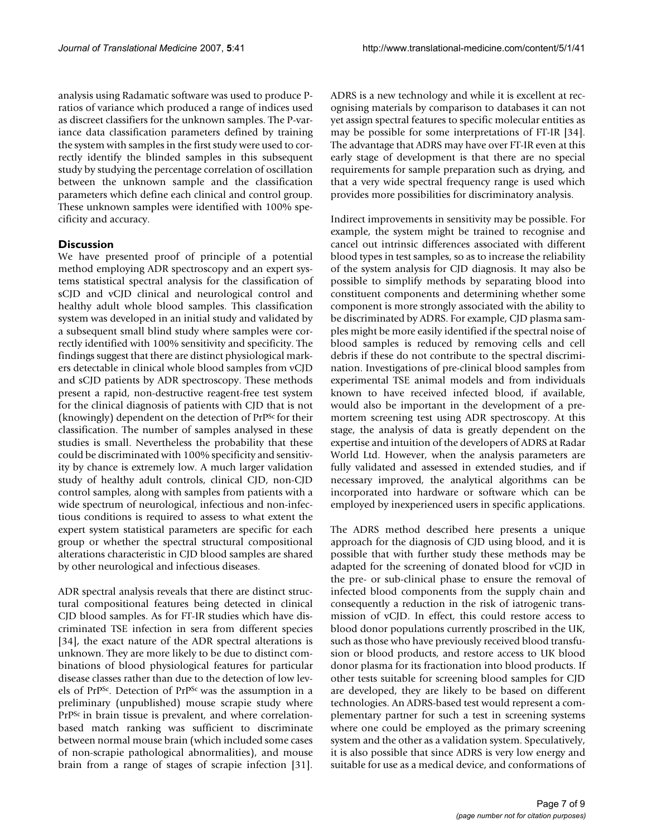analysis using Radamatic software was used to produce Pratios of variance which produced a range of indices used as discreet classifiers for the unknown samples. The P-variance data classification parameters defined by training the system with samples in the first study were used to correctly identify the blinded samples in this subsequent study by studying the percentage correlation of oscillation between the unknown sample and the classification parameters which define each clinical and control group. These unknown samples were identified with 100% specificity and accuracy.

#### **Discussion**

We have presented proof of principle of a potential method employing ADR spectroscopy and an expert systems statistical spectral analysis for the classification of sCJD and vCJD clinical and neurological control and healthy adult whole blood samples. This classification system was developed in an initial study and validated by a subsequent small blind study where samples were correctly identified with 100% sensitivity and specificity. The findings suggest that there are distinct physiological markers detectable in clinical whole blood samples from vCJD and sCJD patients by ADR spectroscopy. These methods present a rapid, non-destructive reagent-free test system for the clinical diagnosis of patients with CJD that is not (knowingly) dependent on the detection of PrPSc for their classification. The number of samples analysed in these studies is small. Nevertheless the probability that these could be discriminated with 100% specificity and sensitivity by chance is extremely low. A much larger validation study of healthy adult controls, clinical CJD, non-CJD control samples, along with samples from patients with a wide spectrum of neurological, infectious and non-infectious conditions is required to assess to what extent the expert system statistical parameters are specific for each group or whether the spectral structural compositional alterations characteristic in CJD blood samples are shared by other neurological and infectious diseases.

ADR spectral analysis reveals that there are distinct structural compositional features being detected in clinical CJD blood samples. As for FT-IR studies which have discriminated TSE infection in sera from different species [34], the exact nature of the ADR spectral alterations is unknown. They are more likely to be due to distinct combinations of blood physiological features for particular disease classes rather than due to the detection of low levels of PrPSc. Detection of PrPSc was the assumption in a preliminary (unpublished) mouse scrapie study where PrPSc in brain tissue is prevalent, and where correlationbased match ranking was sufficient to discriminate between normal mouse brain (which included some cases of non-scrapie pathological abnormalities), and mouse brain from a range of stages of scrapie infection [31].

ADRS is a new technology and while it is excellent at recognising materials by comparison to databases it can not yet assign spectral features to specific molecular entities as may be possible for some interpretations of FT-IR [34]. The advantage that ADRS may have over FT-IR even at this early stage of development is that there are no special requirements for sample preparation such as drying, and that a very wide spectral frequency range is used which provides more possibilities for discriminatory analysis.

Indirect improvements in sensitivity may be possible. For example, the system might be trained to recognise and cancel out intrinsic differences associated with different blood types in test samples, so as to increase the reliability of the system analysis for CJD diagnosis. It may also be possible to simplify methods by separating blood into constituent components and determining whether some component is more strongly associated with the ability to be discriminated by ADRS. For example, CJD plasma samples might be more easily identified if the spectral noise of blood samples is reduced by removing cells and cell debris if these do not contribute to the spectral discrimination. Investigations of pre-clinical blood samples from experimental TSE animal models and from individuals known to have received infected blood, if available, would also be important in the development of a premortem screening test using ADR spectroscopy. At this stage, the analysis of data is greatly dependent on the expertise and intuition of the developers of ADRS at Radar World Ltd. However, when the analysis parameters are fully validated and assessed in extended studies, and if necessary improved, the analytical algorithms can be incorporated into hardware or software which can be employed by inexperienced users in specific applications.

The ADRS method described here presents a unique approach for the diagnosis of CJD using blood, and it is possible that with further study these methods may be adapted for the screening of donated blood for vCJD in the pre- or sub-clinical phase to ensure the removal of infected blood components from the supply chain and consequently a reduction in the risk of iatrogenic transmission of vCJD. In effect, this could restore access to blood donor populations currently proscribed in the UK, such as those who have previously received blood transfusion or blood products, and restore access to UK blood donor plasma for its fractionation into blood products. If other tests suitable for screening blood samples for CJD are developed, they are likely to be based on different technologies. An ADRS-based test would represent a complementary partner for such a test in screening systems where one could be employed as the primary screening system and the other as a validation system. Speculatively, it is also possible that since ADRS is very low energy and suitable for use as a medical device, and conformations of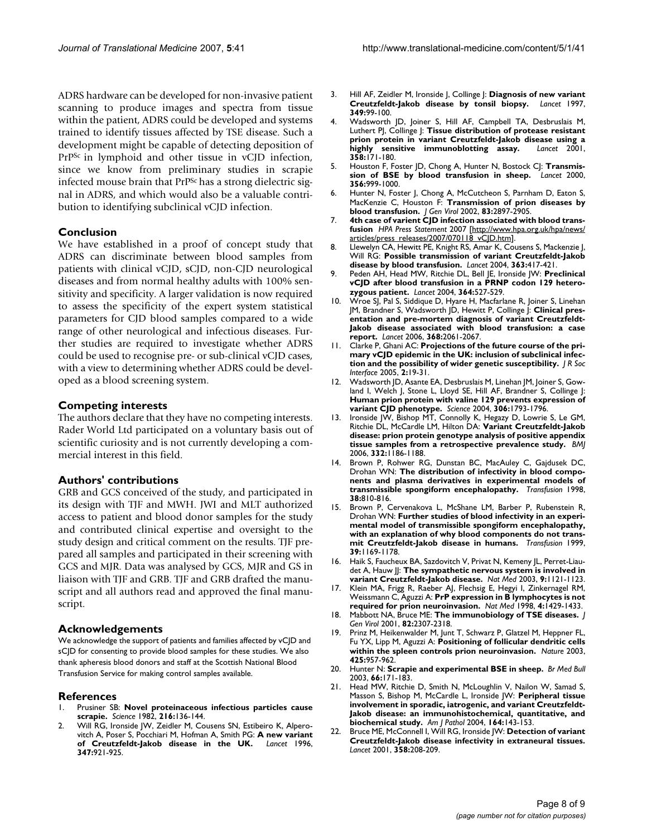ADRS hardware can be developed for non-invasive patient scanning to produce images and spectra from tissue within the patient, ADRS could be developed and systems trained to identify tissues affected by TSE disease. Such a development might be capable of detecting deposition of PrPSc in lymphoid and other tissue in vCJD infection, since we know from preliminary studies in scrapie infected mouse brain that PrP<sup>Sc</sup> has a strong dielectric signal in ADRS, and which would also be a valuable contribution to identifying subclinical vCJD infection.

## **Conclusion**

We have established in a proof of concept study that ADRS can discriminate between blood samples from patients with clinical vCJD, sCJD, non-CJD neurological diseases and from normal healthy adults with 100% sensitivity and specificity. A larger validation is now required to assess the specificity of the expert system statistical parameters for CJD blood samples compared to a wide range of other neurological and infectious diseases. Further studies are required to investigate whether ADRS could be used to recognise pre- or sub-clinical vCJD cases, with a view to determining whether ADRS could be developed as a blood screening system.

#### **Competing interests**

The authors declare that they have no competing interests. Rader World Ltd participated on a voluntary basis out of scientific curiosity and is not currently developing a commercial interest in this field.

#### **Authors' contributions**

GRB and GCS conceived of the study, and participated in its design with TJF and MWH. JWI and MLT authorized access to patient and blood donor samples for the study and contributed clinical expertise and oversight to the study design and critical comment on the results. TJF prepared all samples and participated in their screening with GCS and MJR. Data was analysed by GCS, MJR and GS in liaison with TJF and GRB. TJF and GRB drafted the manuscript and all authors read and approved the final manuscript.

#### **Acknowledgements**

We acknowledge the support of patients and families affected by vCJD and sCJD for consenting to provide blood samples for these studies. We also thank apheresis blood donors and staff at the Scottish National Blood Transfusion Service for making control samples available.

#### **References**

- 1. Prusiner SB: **[Novel proteinaceous infectious particles cause](http://www.ncbi.nlm.nih.gov/entrez/query.fcgi?cmd=Retrieve&db=PubMed&dopt=Abstract&list_uids=6801762) [scrapie.](http://www.ncbi.nlm.nih.gov/entrez/query.fcgi?cmd=Retrieve&db=PubMed&dopt=Abstract&list_uids=6801762)** *Science* 1982, **216:**136-144.
- 2. Will RG, Ironside JW, Zeidler M, Cousens SN, Estibeiro K, Alperovitch A, Poser S, Pocchiari M, Hofman A, Smith PG: **[A new variant](http://www.ncbi.nlm.nih.gov/entrez/query.fcgi?cmd=Retrieve&db=PubMed&dopt=Abstract&list_uids=8598754) [of Creutzfeldt-Jakob disease in the UK.](http://www.ncbi.nlm.nih.gov/entrez/query.fcgi?cmd=Retrieve&db=PubMed&dopt=Abstract&list_uids=8598754)** *Lancet* 1996, **347:**921-925.
- 3. Hill AF, Zeidler M, Ironside J, Collinge J: **[Diagnosis of new variant](http://www.ncbi.nlm.nih.gov/entrez/query.fcgi?cmd=Retrieve&db=PubMed&dopt=Abstract&list_uids=8996424) [Creutzfeldt-Jakob disease by tonsil biopsy.](http://www.ncbi.nlm.nih.gov/entrez/query.fcgi?cmd=Retrieve&db=PubMed&dopt=Abstract&list_uids=8996424)** *Lancet* 1997, **349:**99-100.
- 4. Wadsworth JD, Joiner S, Hill AF, Campbell TA, Desbruslais M, Luthert PJ, Collinge J: **[Tissue distribution of protease resistant](http://www.ncbi.nlm.nih.gov/entrez/query.fcgi?cmd=Retrieve&db=PubMed&dopt=Abstract&list_uids=11476832) [prion protein in variant Creutzfeldt-Jakob disease using a](http://www.ncbi.nlm.nih.gov/entrez/query.fcgi?cmd=Retrieve&db=PubMed&dopt=Abstract&list_uids=11476832) [highly sensitive immunoblotting assay.](http://www.ncbi.nlm.nih.gov/entrez/query.fcgi?cmd=Retrieve&db=PubMed&dopt=Abstract&list_uids=11476832)** *Lancet* 2001, **358:**171-180.
- 5. Houston F, Foster JD, Chong A, Hunter N, Bostock CJ: **[Transmis](http://www.ncbi.nlm.nih.gov/entrez/query.fcgi?cmd=Retrieve&db=PubMed&dopt=Abstract&list_uids=11041403)[sion of BSE by blood transfusion in sheep.](http://www.ncbi.nlm.nih.gov/entrez/query.fcgi?cmd=Retrieve&db=PubMed&dopt=Abstract&list_uids=11041403)** *Lancet* 2000, **356:**999-1000.
- 6. Hunter N, Foster J, Chong A, McCutcheon S, Parnham D, Eaton S, MacKenzie C, Houston F: **[Transmission of prion diseases by](http://www.ncbi.nlm.nih.gov/entrez/query.fcgi?cmd=Retrieve&db=PubMed&dopt=Abstract&list_uids=12388826) [blood transfusion.](http://www.ncbi.nlm.nih.gov/entrez/query.fcgi?cmd=Retrieve&db=PubMed&dopt=Abstract&list_uids=12388826)** *J Gen Virol* 2002, **83:**2897-2905.
- 7. **4th case of varient CJD infection associated with blood transfusion** *HPA Press Statement* 2007 [[http://www.hpa.org.uk/hpa/news/](http://www.hpa.org.uk/hpa/news/articles/press_releases/2007/070118_vCJD.htm) [articles/press\\_releases/2007/070118\\_vCJD.htm\]](http://www.hpa.org.uk/hpa/news/articles/press_releases/2007/070118_vCJD.htm).
- 8. Llewelyn CA, Hewitt PE, Knight RS, Amar K, Cousens S, Mackenzie J, Will RG: **[Possible transmission of variant Creutzfeldt-Jakob](http://www.ncbi.nlm.nih.gov/entrez/query.fcgi?cmd=Retrieve&db=PubMed&dopt=Abstract&list_uids=14962520) [disease by blood transfusion.](http://www.ncbi.nlm.nih.gov/entrez/query.fcgi?cmd=Retrieve&db=PubMed&dopt=Abstract&list_uids=14962520)** *Lancet* 2004, **363:**417-421.
- 9. Peden AH, Head MW, Ritchie DL, Bell JE, Ironside JW: **[Preclinical](http://www.ncbi.nlm.nih.gov/entrez/query.fcgi?cmd=Retrieve&db=PubMed&dopt=Abstract&list_uids=15302196) [vCJD after blood transfusion in a PRNP codon 129 hetero](http://www.ncbi.nlm.nih.gov/entrez/query.fcgi?cmd=Retrieve&db=PubMed&dopt=Abstract&list_uids=15302196)[zygous patient.](http://www.ncbi.nlm.nih.gov/entrez/query.fcgi?cmd=Retrieve&db=PubMed&dopt=Abstract&list_uids=15302196)** *Lancet* 2004, **364:**527-529.
- 10. Wroe SJ, Pal S, Siddique D, Hyare H, Macfarlane R, Joiner S, Linehan JM, Brandner S, Wadsworth JD, Hewitt P, Collinge J: **[Clinical pres](http://www.ncbi.nlm.nih.gov/entrez/query.fcgi?cmd=Retrieve&db=PubMed&dopt=Abstract&list_uids=17161728)entation and pre-mortem diagnosis of variant Creutzfeldt-[Jakob disease associated with blood transfusion: a case](http://www.ncbi.nlm.nih.gov/entrez/query.fcgi?cmd=Retrieve&db=PubMed&dopt=Abstract&list_uids=17161728) [report.](http://www.ncbi.nlm.nih.gov/entrez/query.fcgi?cmd=Retrieve&db=PubMed&dopt=Abstract&list_uids=17161728)** *Lancet* 2006, **368:**2061-2067.
- 11. Clarke P, Ghani AC: **[Projections of the future course of the pri](http://www.ncbi.nlm.nih.gov/entrez/query.fcgi?cmd=Retrieve&db=PubMed&dopt=Abstract&list_uids=16849160)[mary vCJD epidemic in the UK: inclusion of subclinical infec](http://www.ncbi.nlm.nih.gov/entrez/query.fcgi?cmd=Retrieve&db=PubMed&dopt=Abstract&list_uids=16849160)[tion and the possibility of wider genetic susceptibility.](http://www.ncbi.nlm.nih.gov/entrez/query.fcgi?cmd=Retrieve&db=PubMed&dopt=Abstract&list_uids=16849160)** *J R Soc Interface* 2005, **2:**19-31.
- 12. Wadsworth JD, Asante EA, Desbruslais M, Linehan JM, Joiner S, Gowland I, Welch J, Stone L, Lloyd SE, Hill AF, Brandner S, Collinge J: **[Human prion protein with valine 129 prevents expression of](http://www.ncbi.nlm.nih.gov/entrez/query.fcgi?cmd=Retrieve&db=PubMed&dopt=Abstract&list_uids=15539564) [variant CJD phenotype.](http://www.ncbi.nlm.nih.gov/entrez/query.fcgi?cmd=Retrieve&db=PubMed&dopt=Abstract&list_uids=15539564)** *Science* 2004, **306:**1793-1796.
- 13. Ironside JW, Bishop MT, Connolly K, Hegazy D, Lowrie S, Le GM, Ritchie DL, McCardle LM, Hilton DA: **[Variant Creutzfeldt-Jakob](http://www.ncbi.nlm.nih.gov/entrez/query.fcgi?cmd=Retrieve&db=PubMed&dopt=Abstract&list_uids=16606639) [disease: prion protein genotype analysis of positive appendix](http://www.ncbi.nlm.nih.gov/entrez/query.fcgi?cmd=Retrieve&db=PubMed&dopt=Abstract&list_uids=16606639) [tissue samples from a retrospective prevalence study.](http://www.ncbi.nlm.nih.gov/entrez/query.fcgi?cmd=Retrieve&db=PubMed&dopt=Abstract&list_uids=16606639)** *BMJ* 2006, **332:**1186-1188.
- Brown P, Rohwer RG, Dunstan BC, MacAuley C, Gajdusek DC, Drohan WN: **[The distribution of infectivity in blood compo](http://www.ncbi.nlm.nih.gov/entrez/query.fcgi?cmd=Retrieve&db=PubMed&dopt=Abstract&list_uids=9738619)[nents and plasma derivatives in experimental models of](http://www.ncbi.nlm.nih.gov/entrez/query.fcgi?cmd=Retrieve&db=PubMed&dopt=Abstract&list_uids=9738619) [transmissible spongiform encephalopathy.](http://www.ncbi.nlm.nih.gov/entrez/query.fcgi?cmd=Retrieve&db=PubMed&dopt=Abstract&list_uids=9738619)** *Transfusion* 1998, **38:**810-816.
- 15. Brown P, Cervenakova L, McShane LM, Barber P, Rubenstein R, Drohan WN: **[Further studies of blood infectivity in an experi](http://www.ncbi.nlm.nih.gov/entrez/query.fcgi?cmd=Retrieve&db=PubMed&dopt=Abstract&list_uids=10604242)mental model of transmissible spongiform encephalopathy, [with an explanation of why blood components do not trans](http://www.ncbi.nlm.nih.gov/entrez/query.fcgi?cmd=Retrieve&db=PubMed&dopt=Abstract&list_uids=10604242)[mit Creutzfeldt-Jakob disease in humans.](http://www.ncbi.nlm.nih.gov/entrez/query.fcgi?cmd=Retrieve&db=PubMed&dopt=Abstract&list_uids=10604242)** *Transfusion* 1999, **39:**1169-1178.
- 16. Haik S, Faucheux BA, Sazdovitch V, Privat N, Kemeny JL, Perret-Liaudet A, Hauw JJ: **[The sympathetic nervous system is involved in](http://www.ncbi.nlm.nih.gov/entrez/query.fcgi?cmd=Retrieve&db=PubMed&dopt=Abstract&list_uids=12937415) [variant Creutzfeldt-Jakob disease.](http://www.ncbi.nlm.nih.gov/entrez/query.fcgi?cmd=Retrieve&db=PubMed&dopt=Abstract&list_uids=12937415)** *Nat Med* 2003, **9:**1121-1123.
- 17. Klein MA, Frigg R, Raeber AJ, Flechsig E, Hegyi I, Zinkernagel RM, Weissmann C, Aguzzi A: **[PrP expression in B lymphocytes is not](http://www.ncbi.nlm.nih.gov/entrez/query.fcgi?cmd=Retrieve&db=PubMed&dopt=Abstract&list_uids=9846583) [required for prion neuroinvasion.](http://www.ncbi.nlm.nih.gov/entrez/query.fcgi?cmd=Retrieve&db=PubMed&dopt=Abstract&list_uids=9846583)** *Nat Med* 1998, **4:**1429-1433.
- 18. Mabbott NA, Bruce ME: **[The immunobiology of TSE diseases.](http://www.ncbi.nlm.nih.gov/entrez/query.fcgi?cmd=Retrieve&db=PubMed&dopt=Abstract&list_uids=11562524)** *J Gen Virol* 2001, **82:**2307-2318.
- 19. Prinz M, Heikenwalder M, Junt T, Schwarz P, Glatzel M, Heppner FL, Fu YX, Lipp M, Aguzzi A: **[Positioning of follicular dendritic cells](http://www.ncbi.nlm.nih.gov/entrez/query.fcgi?cmd=Retrieve&db=PubMed&dopt=Abstract&list_uids=14562059) [within the spleen controls prion neuroinvasion.](http://www.ncbi.nlm.nih.gov/entrez/query.fcgi?cmd=Retrieve&db=PubMed&dopt=Abstract&list_uids=14562059)** *Nature* 2003, **425:**957-962.
- 20. Hunter N: **[Scrapie and experimental BSE in sheep.](http://www.ncbi.nlm.nih.gov/entrez/query.fcgi?cmd=Retrieve&db=PubMed&dopt=Abstract&list_uids=14522858)** *Br Med Bull* 2003, **66:**171-183.
- 21. Head MW, Ritchie D, Smith N, McLoughlin V, Nailon W, Samad S, Masson S, Bishop M, McCardle L, Ironside JW: **[Peripheral tissue](http://www.ncbi.nlm.nih.gov/entrez/query.fcgi?cmd=Retrieve&db=PubMed&dopt=Abstract&list_uids=14695328) involvement in sporadic, iatrogenic, and variant Creutzfeldt-[Jakob disease: an immunohistochemical, quantitative, and](http://www.ncbi.nlm.nih.gov/entrez/query.fcgi?cmd=Retrieve&db=PubMed&dopt=Abstract&list_uids=14695328) [biochemical study.](http://www.ncbi.nlm.nih.gov/entrez/query.fcgi?cmd=Retrieve&db=PubMed&dopt=Abstract&list_uids=14695328)** *Am J Pathol* 2004, **164:**143-153.
- 22. Bruce ME, McConnell I, Will RG, Ironside JW: **[Detection of variant](http://www.ncbi.nlm.nih.gov/entrez/query.fcgi?cmd=Retrieve&db=PubMed&dopt=Abstract&list_uids=11476840) [Creutzfeldt-Jakob disease infectivity in extraneural tissues.](http://www.ncbi.nlm.nih.gov/entrez/query.fcgi?cmd=Retrieve&db=PubMed&dopt=Abstract&list_uids=11476840)** *Lancet* 2001, **358:**208-209.